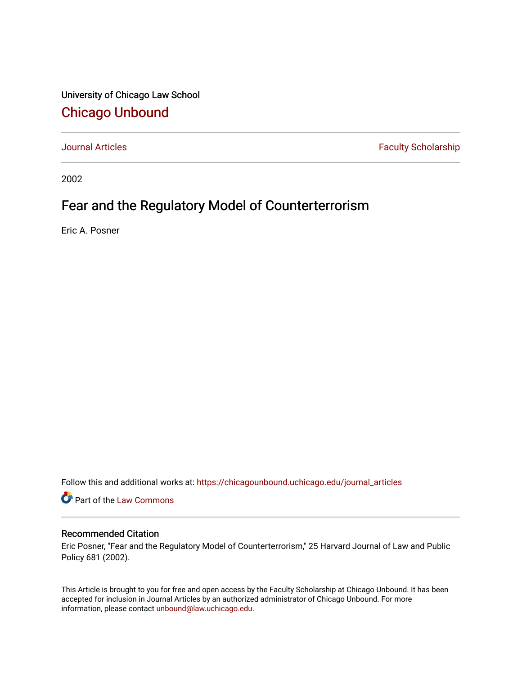University of Chicago Law School [Chicago Unbound](https://chicagounbound.uchicago.edu/)

[Journal Articles](https://chicagounbound.uchicago.edu/journal_articles) **Faculty Scholarship Faculty Scholarship** 

2002

# Fear and the Regulatory Model of Counterterrorism

Eric A. Posner

Follow this and additional works at: [https://chicagounbound.uchicago.edu/journal\\_articles](https://chicagounbound.uchicago.edu/journal_articles?utm_source=chicagounbound.uchicago.edu%2Fjournal_articles%2F1736&utm_medium=PDF&utm_campaign=PDFCoverPages) 

Part of the [Law Commons](http://network.bepress.com/hgg/discipline/578?utm_source=chicagounbound.uchicago.edu%2Fjournal_articles%2F1736&utm_medium=PDF&utm_campaign=PDFCoverPages)

## Recommended Citation

Eric Posner, "Fear and the Regulatory Model of Counterterrorism," 25 Harvard Journal of Law and Public Policy 681 (2002).

This Article is brought to you for free and open access by the Faculty Scholarship at Chicago Unbound. It has been accepted for inclusion in Journal Articles by an authorized administrator of Chicago Unbound. For more information, please contact [unbound@law.uchicago.edu](mailto:unbound@law.uchicago.edu).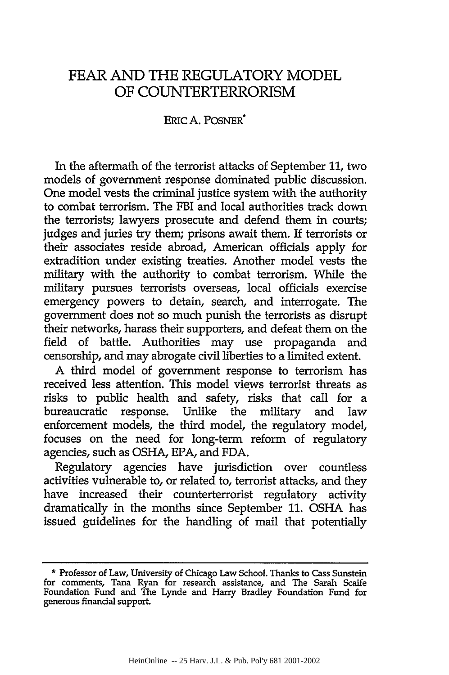## FEAR AND THE REGULATORY MODEL OF COUNTERTERRORISM

## ERIC A. POSNER

In the aftermath of the terrorist attacks of September 11, two models of government response dominated public discussion. One model vests the criminal justice system with the authority to combat terrorism. The FBI and local authorities track down the terrorists; lawyers prosecute and defend them in courts; judges and juries try them; prisons await them. If terrorists or their associates reside abroad, American officials apply for extradition under existing treaties. Another model vests the military with the authority to combat terrorism. While the military pursues terrorists overseas, local officials exercise emergency powers to detain, search, and interrogate. The government does not so much punish the terrorists as disrupt their networks, harass their supporters, and defeat them on the field of battle. Authorities may use propaganda and censorship, and may abrogate civil liberties to a limited extent.

A third model of government response to terrorism has received less attention. This model views terrorist threats as risks to public health and safety, risks that call for a bureaucratic response. Unlike the military and law enforcement models, the third model, the regulatory model, focuses on the need for long-term reform of regulatory agencies, such as OSHA, EPA, and FDA.

Regulatory agencies have jurisdiction over countless activities vulnerable to, or related to, terrorist attacks, and they have increased their counterterrorist regulatory activity dramatically in the months since September 11. OSHA has issued guidelines for the handling of mail that potentially

<sup>\*</sup> Professor of Law, University of Chicago Law School. Thanks to Cass Sunstein for comments, Tana Ryan for research assistance, and The Sarah Scaife Foundation Fund and The Lynde and Harry Bradley Foundation Fund for generous financial supporL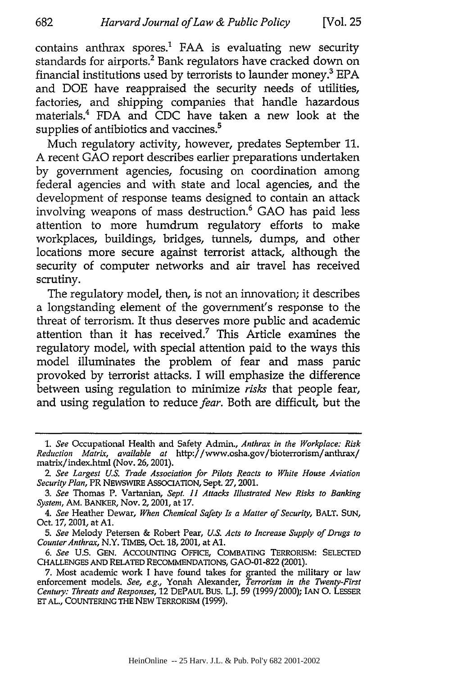contains anthrax spores.<sup>1</sup> FAA is evaluating new security standards for airports.<sup>2</sup> Bank regulators have cracked down on financial institutions used by terrorists to launder money.' EPA and DOE have reappraised the security needs of utilities, factories, and shipping companies that handle hazardous materials.4 FDA and CDC have taken a new look at the supplies of antibiotics and vaccines.<sup>5</sup>

Much regulatory activity, however, predates September 11. A recent GAO report describes earlier preparations undertaken by government agencies, focusing on coordination among federal agencies and with state and local agencies, and the development of response teams designed to contain an attack involving weapons of mass destruction.<sup>6</sup> GAO has paid less attention to more humdrum regulatory efforts to make workplaces, buildings, bridges, tunnels, dumps, and other locations more secure against terrorist attack, although the security of computer networks and air travel has received scrutiny.

The regulatory model, then, is not an innovation; it describes a longstanding element of the government's response to the threat of terrorism. It thus deserves more public and academic attention than it has received.<sup>7</sup> This Article examines the regulatory model, with special attention paid to the ways this model illuminates the problem of fear and mass panic provoked by terrorist attacks. I will emphasize the difference between using regulation to minimize *risks* that people fear, and using regulation to reduce *fear.* Both are difficult, but the

*<sup>1.</sup> See* Occupational Health and Safety Admin., *Anthrax in the Workplace: Risk Reduction Matrix, available at* http://www.osha.gov/bioterrorism/anthrax/ matrix/index.html (Nov. 26, 2001).

*<sup>2.</sup> See Largest U.S. Trade Association for Pilots Reacts to White House Aviation Security Plan,* PR NEWSWIRE ASSOCIATION, Sept. 27, 2001.

*<sup>3.</sup> See* Thomas P. Vartanian, *Sept. 11 Attacks Illustrated New Risks to Banking System,* AM. BANKER, Nov. 2,2001, at 17.

*<sup>4.</sup> See* Heather Dewar, *When Chemical Safety Is a Matter of Security,* BALT. SUN, Oct. **17,** 2001, at **Al.**

*<sup>5.</sup> See* Melody Petersen & Robert Pear, *U.S. Acts to Increase Supply of Drugs to Counter Anthrax,* N.Y. TIMES, Oct. 18, 2001, at **Al.**

*<sup>6.</sup> See* U.S. GEN. ACCOUNTING OFFICE, COMBATING TERRORISM: SELECTED **CHALLENGES AND** RELATED RECOMMENDATIONS, GAO-01-822 (2001).

<sup>7.</sup> Most academic work I have found takes for granted the military or law enforcement models. *See, e.g.,* Yonah Alexander, *Terrorism in the Twenty-First Century: Threats and Responses,* 12 DEPAUL BUS. L.J. 59 (1999/2000); IAN **0.** LESSER **ET AL., COUNTERING** THE **NEW** TERRORISM **(1999).**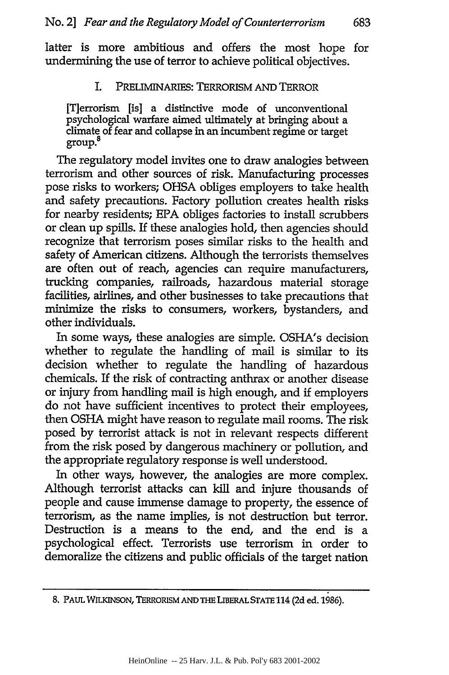latter is more ambitious and offers the most hope for undermining the use of terror to achieve political objectives.

## I. PRELIMINARIES: TERRORISM **AND** TERROR

[T]errorism [is] a distinctive mode of unconventional psychological warfare aimed ultimately at bringing about a  ${\rm climate}$  of fear and collapse in an incumbent regime or target group.

The regulatory model invites one to draw analogies between terrorism and other sources of risk. Manufacturing processes pose risks to workers; **OHSA** obliges employers to take health and safety precautions. Factory pollution creates health risks for nearby residents; **EPA** obliges factories to install scrubbers or **clean** up spills. **If** these analogies hold, then agencies should recognize that terrorism poses similar risks to the health and safety of American citizens. Although the terrorists themselves are often out of reach, agencies can require manufacturers, trucking companies, railroads, hazardous material storage facilities, airlines, and other businesses to take precautions that minimize the risks to consumers, workers, bystanders, and other individuals.

In some ways, these analogies are simple. OSHA's decision whether to regulate the handling of mail is similar to its decision whether to regulate the handling of hazardous chemicals. If the risk of contracting anthrax or another disease or injury from handling mail is high enough, and **if** employers do not have sufficient incentives to protect their employees, then **OSHA** might have reason to regulate mail rooms. The risk posed **by** terrorist attack is not in relevant respects different from the risk posed **by** dangerous machinery or pollution, and the appropriate regulatory response is well understood.

In other ways, however, the analogies are more complex. Although terrorist attacks can kill and injure thousands of people and cause immense damage to property, the essence of terrorism, as the name implies, is not destruction but terror. Destruction is a means to the end, and the end is a psychological effect. Terrorists use terrorism in order to demoralize the citizens and public officials of the target nation

**<sup>8.</sup>** PAUL WILKINSON, TERRORISM **AND** THE LIBERAL **STATE** 114 **(2d** ed. **1986).**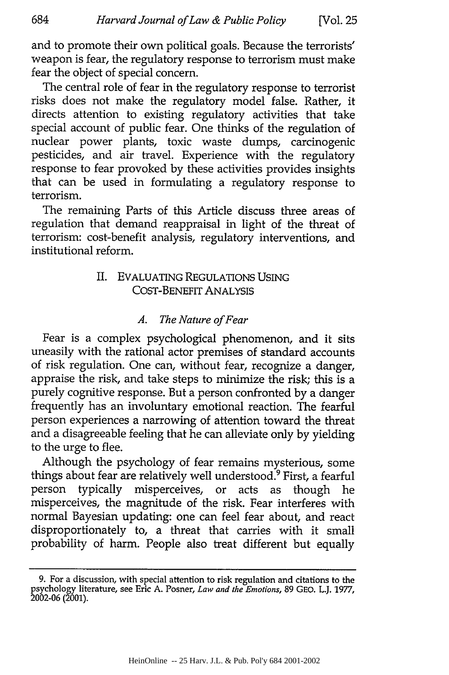and to promote their own political goals. Because the terrorists' weapon is fear, the regulatory response to terrorism must make fear the object of special concern.

The central role of fear in the regulatory response to terrorist risks does not make the regulatory model false. Rather, it directs attention to existing regulatory activities that take special account of public fear. One thinks of the regulation of nuclear power plants, toxic waste dumps, carcinogenic pesticides, and air travel. Experience with the regulatory response to fear provoked by these activities provides insights that can be used in formulating a regulatory response to terrorism.

The remaining Parts of this Article discuss three areas of regulation that demand reappraisal in light of the threat of terrorism: cost-benefit analysis, regulatory interventions, and institutional reform.

## II. EVALUATING REGULATIONS USING COST-BENEFIT ANALYSIS

## *A. The Nature of Fear*

Fear is a complex psychological phenomenon, and it sits uneasily with the rational actor premises of standard accounts of risk regulation. One can, without fear, recognize a danger, appraise the risk, and take steps to minimize the risk; this is a purely cognitive response. But a person confronted by a danger frequently has an involuntary emotional reaction. The fearful person experiences a narrowing of attention toward the threat and a disagreeable feeling that he can alleviate only by yielding to the urge to flee.

Although the psychology of fear remains mysterious, some things about fear are relatively well understood.<sup>9</sup> First, a fearful person typically misperceives, or acts as though he misperceives, the magnitude of the risk. Fear interferes with normal Bayesian updating: one can feel fear about, and react disproportionately to, a threat that carries with it small probability of harm. People also treat different but equally

**<sup>9.</sup> For** a **discussion, with special** attention **to risk regulation and** citations **to the** psychology literature, **see** Eric **A.** Posner, *Law and the Emotions,* **89** GEO. LJ. **1977, 2002-06 (2001).**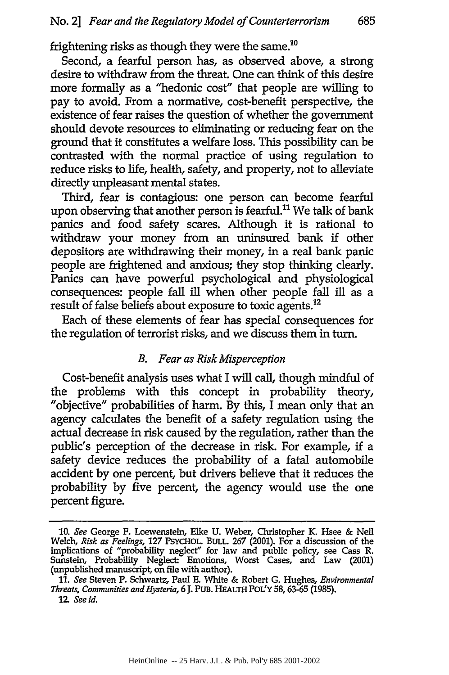frightening risks as though they were the same. $^{10}$ 

Second, a fearful person has, as observed above, a strong desire to withdraw from the threat. One can think of this desire more formally as a "hedonic cost" that people are willing to pay to avoid. From a normative, cost-benefit perspective, the existence of fear raises the question of whether the government should devote resources to eliminating or reducing fear on the ground that it constitutes a welfare loss. This possibility can be contrasted with the normal practice of using regulation to reduce risks to life, health, safety, and property, not to alleviate directly unpleasant mental states.

Third, fear is contagious: one person can become fearful upon observing that another person is fearful.<sup>11</sup> We talk of bank panics and food safety scares. Although it is rational to withdraw your money from an uninsured bank **if** other depositors are withdrawing their money, in a real bank panic people are frightened and anxious; they stop thinking clearly. Panics can have powerful psychological and physiological consequences: people fall **ill** when other people fall ill as a result of false beliefs about exposure to toxic agents.<sup>12</sup>

Each of these elements of fear has special consequences for the regulation of terrorist risks, and we discuss them in turn.

## *B. Fear as Risk Misperception*

Cost-benefit analysis uses what I will call, though mindful of the problems with this concept in probability theory, "objective" probabilities of harm. By this, I mean only that an agency calculates the benefit of a safety regulation using the actual decrease in risk caused by the regulation, rather than the public's perception of the decrease in risk. For example, **if** a safety device reduces the probability of a fatal automobile accident by one percent, but drivers believe that it reduces the probability by five percent, the agency would use the one percent figure.

**<sup>10.</sup>** *See* George F. Loewenstein, Elke **U.** Weber, Christopher K. Hsee **&** Neil Welch, *Risk as Feelings,* **127 PSYCHOL. BULL. 267** (2001). For a discussion of the implications of "probability neglect" for law and public policy, see Cass R. Sunstein, Probability Neglect: Emotions, Worst Cases, and Law (2001) (unpublished manuscript, on file with author).

**<sup>11.</sup>** *See* Steven P. Schwartz, Paul **E.** White **&** Robert **G.** Hughes, *Environmental Threats, Communities and Hysteria, 6* **J. PUB.** HEALTH POL'Y **58, 63-65 (1985).**

*<sup>12</sup> See id.*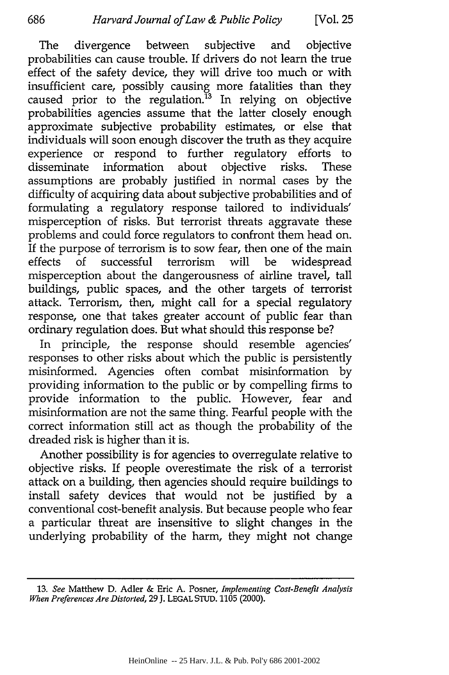The divergence between subjective and objective probabilities can cause trouble. If drivers do not learn the true effect of the safety device, they will drive too much or with insufficient care, possibly causing more fatalities than they caused prior to the regulation.<sup>13</sup> In relying on objective probabilities agencies assume that the latter closely enough approximate subjective probability estimates, or else that individuals will soon enough discover the truth as they acquire experience or respond to further regulatory efforts to disseminate information about objective risks. These assumptions are probably justified in normal cases by the difficulty of acquiring data about subjective probabilities and of formulating a regulatory response tailored to individuals' misperception of risks. But terrorist threats aggravate these problems and could force regulators to confront them head on. If the purpose of terrorism is to sow fear, then one of the main effects of successful terrorism will be widespread misperception about the dangerousness of airline travel, tall buildings, public spaces, and the other targets of terrorist attack. Terrorism, then, might call for a special regulatory response, one that takes greater account of public fear than ordinary regulation does. But what should this response be?

In principle, the response should resemble agencies' responses to other risks about which the public is persistently misinformed. Agencies often combat misinformation by providing information to the public or by compelling firms to provide information to the public. However, fear and misinformation are not the same thing. Fearful people with the correct information still act as though the probability of the dreaded risk is higher than it is.

Another possibility is for agencies to overregulate relative to objective risks. If people overestimate the risk of a terrorist attack on a building, then agencies should require buildings to install safety devices that would not be justified by a conventional cost-benefit analysis. But because people who fear a particular threat are insensitive to slight changes in the underlying probability of the harm, they might not change

<sup>13.</sup> *See* Matthew D. Adler & Eric A. Posner, *Implementing Cost-Benefit Analysis When Preferences Are Distorted,* **29** J. **LEGAL STUD. 1105** (2000).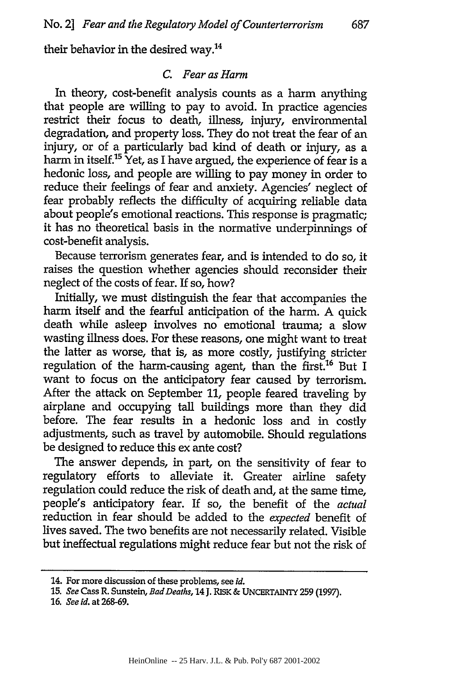their behavior in the desired way.<sup>14</sup>

## *C. Fear as Harm*

In theory, cost-benefit analysis counts as a harm anything that people are willing to pay to avoid. In practice agencies restrict their focus to death, illness, injury, environmental degradation, and property loss. They do not treat the fear of an injury, or of a particularly bad kind of death or injury, as a harm in itself.<sup>15</sup> Yet, as I have argued, the experience of fear is a hedonic loss, and people are willing to pay money in order to reduce their feelings of fear and anxiety. Agencies' neglect of fear probably reflects the difficulty of acquiring reliable data about people's emotional reactions. This response is pragmatic; it has no theoretical basis in the normative underpinnings of cost-benefit analysis.

Because terrorism generates fear, and is intended to do so, it raises the question whether agencies should reconsider their neglect of the costs of fear. If so, how?

Initially, we must distinguish the fear that accompanies the harm itself and the fearful anticipation of the harm. A quick death while asleep involves no emotional trauma; a slow wasting illness does. For these reasons, one might want to treat the latter as worse, that is, as more costly, justifying stricter regulation of the harm-causing agent, than the first.<sup>16</sup> But I want to focus on the anticipatory fear caused by terrorism. After the attack on September 11, people feared traveling by airplane and occupying tall buildings more than they did before. The fear results in a hedonic loss and in costly adjustments, such as travel by automobile. Should regulations be designed to reduce this ex ante cost?

The answer depends, in part, on the sensitivity of fear to regulatory efforts to alleviate it. Greater airline safety regulation could reduce the risk of death and, at the same time, people's anticipatory fear. If so, the benefit of the *actual* reduction in fear should be added to the *expected* benefit of lives saved. The two benefits are not necessarily related. Visible but ineffectual regulations might reduce fear but not the risk of

**16.** *See id.* at 268-69.

<sup>14.</sup> For more discussion of these problems, see *id.*

**<sup>15.</sup>** *See* Cass R. Sunstein, *BadDeaths,* 14 **J.** RISK **& UNCERTAINTY 259 (1997).**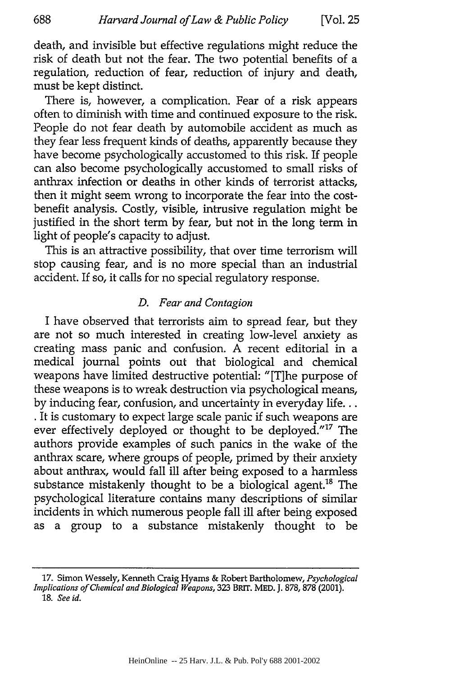death, and invisible but effective regulations might reduce the risk of death but not the fear. The two potential benefits of a regulation, reduction of fear, reduction of injury and death, must be kept distinct.

There is, however, a complication. Fear of a risk appears often to diminish with time and continued exposure to the risk. People do not fear death by automobile accident as much as they fear less frequent kinds of deaths, apparently because they have become psychologically accustomed to this risk. If people can also become psychologically accustomed to small risks of anthrax infection or deaths in other kinds of terrorist attacks, then it might seem wrong to incorporate the fear into the costbenefit analysis. Costly, visible, intrusive regulation might be justified in the short term by fear, but not in the long term in light of people's capacity to adjust.

This is an attractive possibility, that over time terrorism will stop causing fear, and is no more special than an industrial accident. If so, it calls for no special regulatory response.

## *D. Fear and Contagion*

I have observed that terrorists aim to spread fear, but they are not so much interested in creating low-level anxiety as creating mass panic and confusion. A recent editorial in a medical journal points out that biological and chemical weapons have limited destructive potential: "[T]he purpose of these weapons is to wreak destruction via psychological means, by inducing fear, confusion, and uncertainty in everyday life... **.** It is customary to expect large scale panic if such weapons are ever effectively deployed or thought to be deployed."<sup>17</sup> The authors provide examples of such panics in the wake of the anthrax scare, where groups of people, primed by their anxiety about anthrax, would fall ill after being exposed to a harmless substance mistakenly thought to be a biological agent.<sup>18</sup> The psychological literature contains many descriptions of similar incidents in which numerous people fall ill after being exposed as a group to a substance mistakenly thought to be

**<sup>17.</sup>** Simon Wessely, Kenneth Craig Hyams **&** Robert Bartholomew, *Psychological Implications of Chemical and Biological Weapons,* 323 BRIT. MED. J. 878, 878 (2001). **18.** *See id.*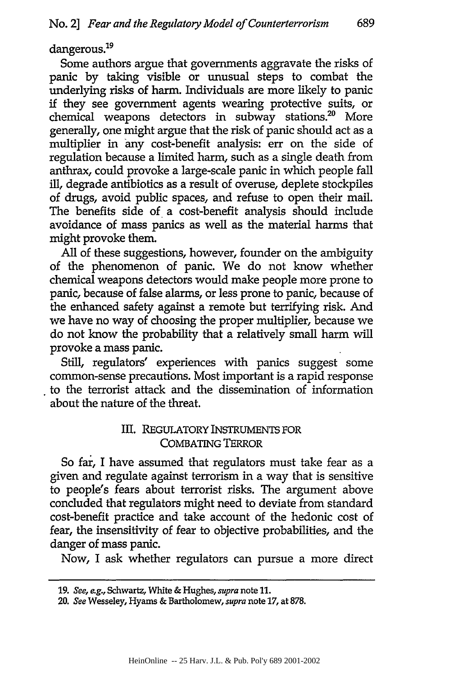dangerous.<sup>19</sup>

Some authors argue that governments aggravate the risks of panic by taking visible or unusual steps to combat the underlying risks of harm. Individuals are more likely to panic if they see government agents wearing protective suits, or chemical weapons detectors in subway stations.<sup>20</sup> More generally, one might argue that the risk of panic should act as a multiplier in any cost-benefit analysis: err on the side of regulation because a limited harm, such as a single death from anthrax, could provoke a large-scale panic in which people fall ill, degrade antibiotics as a result of overuse, deplete stockpiles of drugs, avoid public spaces, and refuse to open their mail. The benefits side of a cost-benefit analysis should include avoidance of mass panics as well as the material harms that might provoke them.

All of these suggestions, however, founder on the ambiguity of the phenomenon of panic. We do not know whether chemical weapons detectors would make people more prone to panic, because of false alarms, or less prone to panic, because of the enhanced safety against a remote but terrifying risk. And we have no way of choosing the proper multiplier, because we do not know the probability that a relatively small harm will provoke a mass panic.

Still, regulators' experiences with panics suggest some common-sense precautions. Most important is a rapid response to the terrorist attack and the dissemination of information about the nature of the threat.

## Ill. REGULATORY INSTRUMENTS FOR COMBATING TERROR

So far, I have assumed that regulators must take fear as a given and regulate against terrorism in a way that is sensitive to people's fears about terrorist risks. The argument above concluded that regulators might need to deviate from standard cost-benefit practice and take account of the hedonic cost of fear, the insensitivity of fear to objective probabilities, and the danger of mass panic.

Now, I ask whether regulators can pursue a more direct

<sup>19.</sup> *See, e.g.,* Schwartz, White & Hughes, *supra* note 11.

<sup>20.</sup> *See* Wesseley, Hyams & Bartholomew, *supra* note **17,** at 878.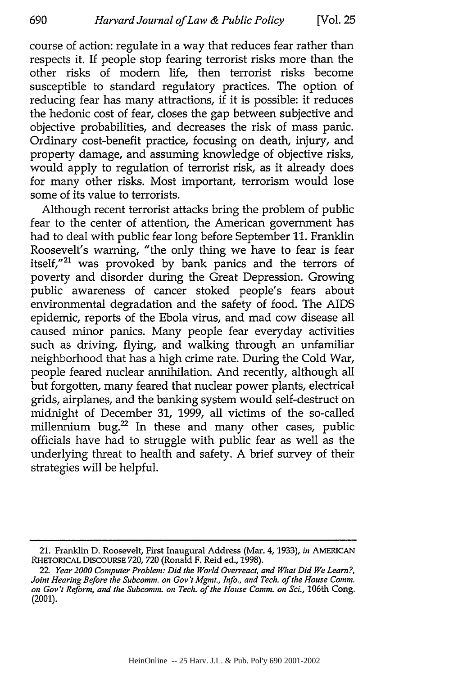690

course of action: regulate in a way that reduces fear rather than respects it. If people stop fearing terrorist risks more than the other risks of modern life, then terrorist risks become susceptible to standard regulatory practices. The option of reducing fear has many attractions, if it is possible: it reduces the hedonic cost of fear, closes the gap between subjective and objective probabilities, and decreases the risk of mass panic. Ordinary cost-benefit practice, focusing on death, injury, and property damage, and assuming knowledge of objective risks, would apply to regulation of terrorist risk, as it already does for many other risks. Most important, terrorism would lose some of its value to terrorists.

Although recent terrorist attacks bring the problem of public fear to the center of attention, the American government has had to deal with public fear long before September 11. Franklin Roosevelt's warning, "the only thing we have to fear is fear itself,"<sup>21</sup> was provoked by bank panics and the terrors of poverty and disorder during the Great Depression. Growing public awareness of cancer stoked people's fears about environmental degradation and the safety of food. The AIDS epidemic, reports of the Ebola virus, and mad cow disease all caused minor panics. Many people fear everyday activities such as driving, flying, and walking through an unfamiliar neighborhood that has a high crime rate. During the Cold War, people feared nuclear annihilation. And recently, although all but forgotten, many feared that nuclear power plants, electrical grids, airplanes, and the banking system would self-destruct on midnight of December 31, 1999, all victims of the so-called millennium bug.<sup>22</sup> In these and many other cases, public officials have had to struggle with public fear as well as the underlying threat to health and safety. A brief survey of their strategies will be helpful.

<sup>21.</sup> Franklin **D.** Roosevelt, First Inaugural Address (Mar. **4,** 1933), *in* **AMERICAN** RHETORICAL **DISCOURSE 720, 720** (Ronald F. Reid ed., **1998).**

*<sup>22.</sup> Year 2000 Computer Problem: Did the World Overreact, and What Did We Learn?, Joint Hearing Before the Subcomm. on Gov't Mgmt., Info., and Tech. of the House Comm. on Gov't Reform, and the Subcomm. on Tech. of the House Comm. on* Sci., 106th Cong. (2001).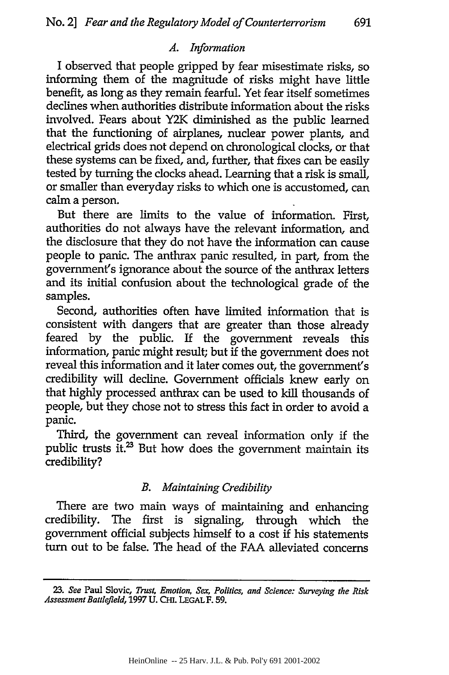## *A. Information*

I observed that people gripped by fear misestimate risks, so informing them of the magnitude of risks might have little benefit, as long as they remain fearful. Yet fear itself sometimes declines when authorities distribute information about the risks involved. Fears about Y2K diminished as the public learned that the functioning of airplanes, nuclear power plants, and electrical grids does not depend on chronological clocks, or that these systems can be fixed, and, further, that fixes can be easily tested by turning the clocks ahead. Learning that a risk is small, or smaller than everyday risks to which one is accustomed, can calm a person.

But there are limits to the value of information. First, authorities do not always have the relevant information, and the disclosure that they do not have the information can cause people to panic. The anthrax panic resulted, in part, from the government's ignorance about the source of the anthrax letters and its initial confusion about the technological grade of the samples.

Second, authorities often have limited information that is consistent with dangers that are greater than those already feared by the public. If the government reveals this information, panic might result; but if the government does not reveal this information and it later comes out, the government's credibility will decline. Government officials knew early on that highly processed anthrax can be used to kill thousands of people, but they chose not to stress this fact in order to avoid a panic.

Third, the government can reveal information only if the public trusts it.<sup>23</sup> But how does the government maintain its credibility?

## *B. Maintaining Credibility*

There are two main ways of maintaining and enhancing credibility. The first is signaling, through which the government official subjects himself to a cost if his statements **turn** out to be false. The head of the **FAA** alleviated concerns

**<sup>23.</sup>** *See* Paul Slovic, *Trust, Emotion, Sex, Politics, and Science: Surveying the Risk Assessment Battlefield,* **1997 U. CHI. LEGAL** F. **59.**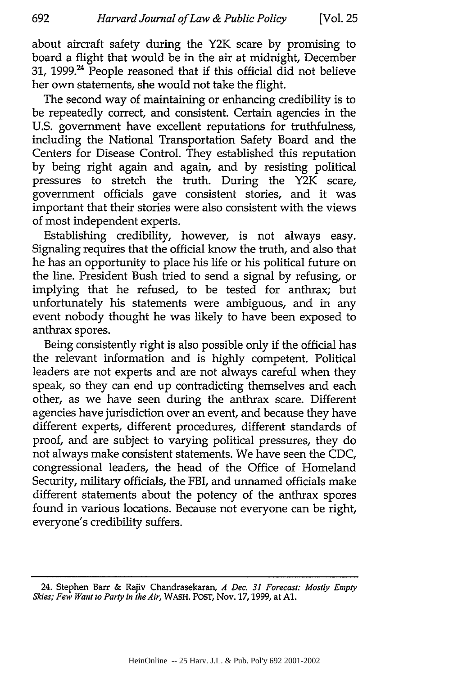about aircraft safety during the Y2K scare by promising to board a flight that would be in the air at midnight, December 31, 1999. $^{24}$  People reasoned that if this official did not believe her own statements, she would not take the flight.

The second way of maintaining or enhancing credibility is to be repeatedly correct, and consistent. Certain agencies in the U.S. government have excellent reputations for truthfulness, including the National Transportation Safety Board and the Centers for Disease Control. They established this reputation by being right again and again, and by resisting political pressures to stretch the truth. During the Y2K scare, government officials gave consistent stories, and it was important that their stories were also consistent with the views of most independent experts.

Establishing credibility, however, is not always easy. Signaling requires that the official know the truth, and also that he has an opportunity to place his life or his political future on the line. President Bush tried to send a signal by refusing, or implying that he refused, to be tested for anthrax; but unfortunately his statements were ambiguous, and in any event nobody thought he was likely to have been exposed to anthrax spores.

Being consistently right is also possible only if the official has the relevant information and is highly competent. Political leaders are not experts and are not always careful when they speak, so they can end up contradicting themselves and each other, as we have seen during the anthrax scare. Different agencies have jurisdiction over an event, and because they have different experts, different procedures, different standards of proof, and are subject to varying political pressures, they do not always make consistent statements. We have seen the CDC, congressional leaders, the head of the Office of Homeland Security, military officials, the FBI, and unnamed officials make different statements about the potency of the anthrax spores found in various locations. Because not everyone can be right, everyone's credibility suffers.

<sup>24.</sup> Stephen Barr & Rajiv Chandrasekaran, *A* Dec. *31 Forecast: Mostly Empty* Skies; Few *Want to Party* in *the Air,* WASH. POST, Nov. 17,1999, at **Al.**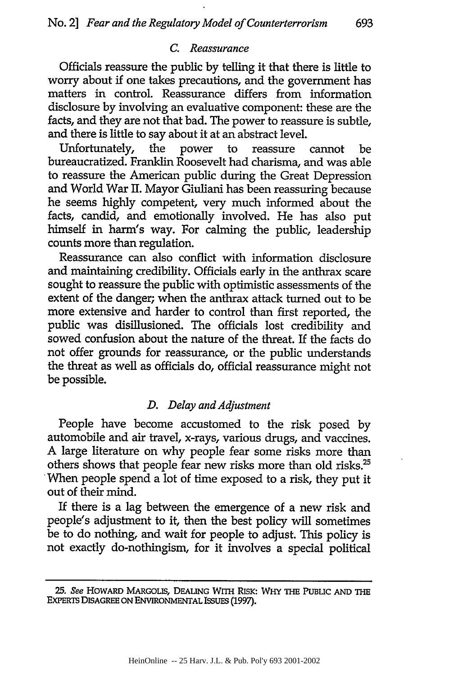## *C. Reassurance*

Officials reassure the public by telling it that there is little to worry about **if** one takes precautions, and the government has matters in control. Reassurance differs from information disclosure by involving an evaluative component: these are the facts, and they are not that bad. The power to reassure is subtle, and there is little to say about it at an abstract level.

Unfortunately, the power to reassure cannot be bureaucratized. Franklin Roosevelt had charisma, and was able to reassure the American public during the Great Depression and World War II. Mayor Giuliani has been reassuring because he seems highly competent, very much informed about the facts, candid, and emotionally involved. He has also put himself in harm's way. For calming the public, leadership counts more than regulation.

Reassurance can also conflict with information disclosure and maintaining credibility. Officials early in the anthrax scare sought to reassure the public with optimistic assessments of the extent of the danger; when the anthrax attack turned out to be more extensive and harder to control than first reported, the public was disillusioned. The officials lost credibility and sowed confusion about the nature of the threat. If the facts do not offer grounds for reassurance, or the public understands the threat as well as officials do, official reassurance might not be possible.

#### *D. Delay and Adjustment*

People have become accustomed to the risk posed by automobile and air travel, x-rays, various drugs, and vaccines. A large literature on why people fear some risks more than others shows that people fear new risks more than old risks.<sup>25</sup> When people spend a lot of time exposed to a risk, they put it out of their mind.

If there is a lag between the emergence of a new risk and people's adjustment to it, then the best policy will sometimes be to do nothing, and wait for people to adjust. This policy is not exactly do-nothingism, for it involves a special political

*<sup>25.</sup>* See HOWARD **MARGOLIS, DEALING WITH RISK: WHY THE PUBLIC AND THE EXPERTS DISAGREE ON ENVIRONMENTAL** ISSUES **(1997).**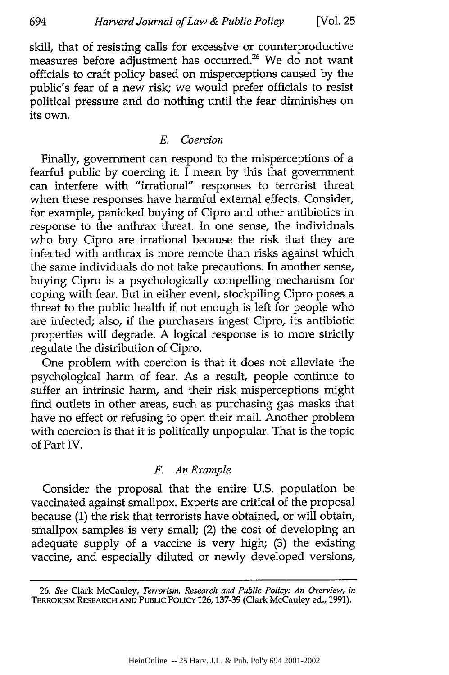skill, that of resisting calls for excessive or counterproductive measures before adjustment has occurred.26 We do not want officials to craft policy based on misperceptions caused by the public's fear of a new risk; we would prefer officials to resist political pressure and do nothing until the fear diminishes on its own.

## *E. Coercion*

Finally, government can respond to the misperceptions of a fearful public by coercing it. I mean by this that government can interfere with "irrational" responses to terrorist threat when these responses have harmful external effects. Consider, for example, panicked buying of Cipro and other antibiotics in response to the anthrax threat. In one sense, the individuals who buy Cipro are irrational because the risk that they are infected with anthrax is more remote than risks against which the same individuals do not take precautions. In another sense, buying Cipro is a psychologically compelling mechanism for coping with fear. But in either event, stockpiling Cipro poses a threat to the public health if not enough is left for people who are infected; also, if the purchasers ingest Cipro, its antibiotic properties will degrade. A logical response is to more strictly regulate the distribution of Cipro.

One problem with coercion is that it does not alleviate the psychological harm of fear. As a result, people continue to suffer an intrinsic harm, and their risk misperceptions might find outlets in other areas, such as purchasing gas masks that have no effect or refusing to open their mail. Another problem with coercion is that it is politically unpopular. That is the topic of Part IV.

## *F. An Example*

Consider the proposal that the entire U.S. population be vaccinated against smallpox. Experts are critical of the proposal because (1) the risk that terrorists have obtained, or will obtain, smallpox samples is very small; (2) the cost of developing an adequate supply of a vaccine is very high; (3) the existing vaccine, and especially diluted or newly developed versions,

**<sup>26.</sup>** *See* Clark McCauley, *Terrorism, Research and Public Policy: An Overview, in* TERRORISM RESEARCH **AND** PUBLIC PoLIcY **126,137-39** (Clark **McCauley ed., 1991).**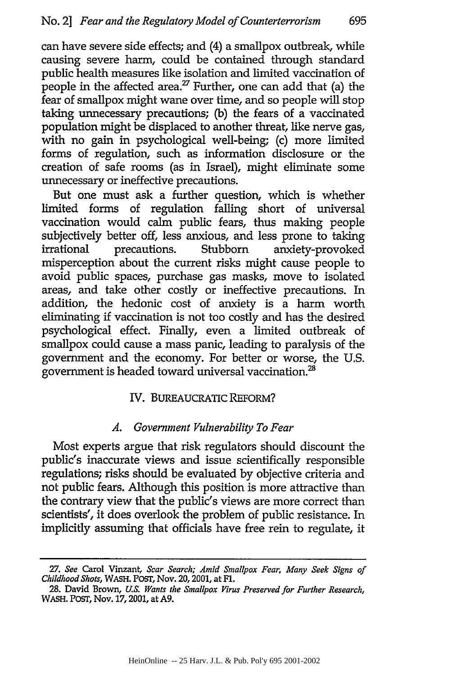can have severe side effects; and (4) a smallpox outbreak, while causing severe harm, could be contained through standard public health measures like isolation and limited vaccination of people in the affected area.<sup>27</sup> Further, one can add that (a) the fear of smallpox might wane over time, and so people will stop taking unnecessary precautions; (b) the fears of a vaccinated population might be displaced to another threat, like nerve gas, with no gain in psychological well-being; (c) more limited forms of regulation, such as information disclosure or the creation of safe rooms (as in Israel), might eliminate some unnecessary or ineffective precautions.

But one must ask a further question, which is whether limited forms of regulation falling short of universal vaccination would calm public fears, thus making people subjectively better off, less anxious, and less prone to taking irrational precautions. Stubborn anxiety-provoked misperception about the current risks might cause people to avoid public spaces, purchase gas masks, move to isolated areas, and take other costly or ineffective precautions. In addition, the hedonic cost of anxiety is a harm worth eliminating if vaccination is not too costly and has the desired psychological effect. Finally, even a limited outbreak of smallpox could cause a mass panic, leading to paralysis of the government and the economy. For better or worse, the U.S. government is headed toward universal vaccination.<sup>28</sup>

## IV. BUREAUCRATIC REFORM?

#### *A. Government Vulnerability To Fear*

Most experts argue that risk regulators should discount the public's inaccurate views and issue scientifically responsible regulations; risks should be evaluated by objective criteria and not public fears. Although this position is more attractive than the contrary view that the public's views are more correct than scientists', it does overlook the problem of public resistance. In implicitly assuming that officials have free rein to regulate, it

<sup>27.</sup> *See* Carol Vinzant, *Scar Search; Amid Smallpox Fear, Many Seek Signs of Childhood Shots,* WASH. POST, Nov. 20, 2001, at Fl.

**<sup>28.</sup>** David Brown, *U.S. Wants the Smallpox Virus Preserved for Further Research,* WASH. POST, Nov. 17,2001, at **A9.**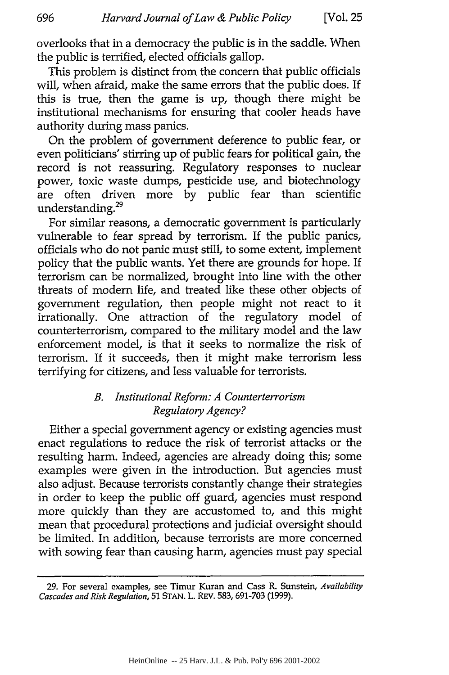overlooks that in a democracy the public is in the saddle. When the public is terrified, elected officials gallop.

This problem is distinct from the concern that public officials will, when afraid, make the same errors that the public does. If this is true, then the game is up, though there might be institutional mechanisms for ensuring that cooler heads have authority during mass panics.

On the problem of government deference to public fear, or even politicians' stirring up of public fears for political gain, the record is not reassuring. Regulatory responses to nuclear power, toxic waste dumps, pesticide use, and biotechnology are often driven more by public fear than scientific understanding.<sup>29</sup>

For similar reasons, a democratic government is particularly vulnerable to fear spread by terrorism. If the public panics, officials who do not panic must still, to some extent, implement policy that the public wants. Yet there are grounds for hope. If terrorism can be normalized, brought into line with the other threats of modern life, and treated like these other objects of government regulation, then people might not react to it irrationally. One attraction of the regulatory model of counterterrorism, compared to the military model and the law enforcement model, is that it seeks to normalize the risk of terrorism. If it succeeds, then it might make terrorism less terrifying for citizens, and less valuable for terrorists.

## *B. Institutional Reform: A Counterterrorism Regulatory Agency?*

Either a special government agency or existing agencies must enact regulations to reduce the risk of terrorist attacks or the resulting harm. Indeed, agencies are already doing this; some examples were given in the introduction. But agencies must also adjust. Because terrorists constantly change their strategies in order to keep the public off guard, agencies must respond more quickly than they are accustomed to, and this might mean that procedural protections and judicial oversight should be limited. In addition, because terrorists are more concerned with sowing fear than causing harm, agencies must pay special

**<sup>29.</sup>** For several examples, see Timur Kuran and Cass R. Sunstein, *Availability Cascades and Risk Regulation,* **51 STAN.** L. REV. **583, 691-703 (1999).**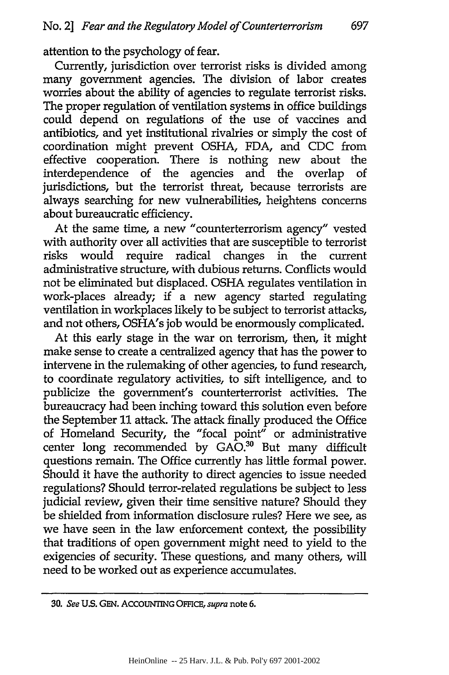attention to the psychology of fear.

Currently, jurisdiction over terrorist risks is divided among many government agencies. The division of labor creates worries about the ability of agencies to regulate terrorist risks. The proper regulation of ventilation systems in office buildings could depend on regulations of the use of vaccines and antibiotics, and yet institutional rivalries or simply the cost of coordination might prevent OSHA, FDA, and CDC from effective cooperation. There is nothing new about the interdependence of the agencies and the overlap jurisdictions, but the terrorist threat, because terrorists are always searching for new vulnerabilities, heightens concerns about bureaucratic efficiency.

At the same time, a new "counterterrorism agency" vested with authority over all activities that are susceptible to terrorist risks would require radical changes in the current administrative structure, with dubious returns. Conflicts would not be eliminated but displaced. OSHA regulates ventilation in work-places already; if a new agency started regulating ventilation in workplaces likely to be subject to terrorist attacks, and not others, OSHA's job would be enormously complicated.

At this early stage in the war on terrorism, then, it might make sense to create a centralized agency that has the power to intervene in the rulemaking of other agencies, to fund research, to coordinate regulatory activities, to sift intelligence, and to publicize the government's counterterrorist activities. The bureaucracy had been inching toward this solution even before the September 11 attack. The attack finally produced the Office of Homeland Security, the "focal point" or administrative center long recommended by GAO.<sup>30</sup> But many difficult questions remain. The Office currently has little formal power. Should it have the authority to direct agencies to issue needed regulations? Should terror-related regulations be subject to less judicial review, given their time sensitive nature? Should they be shielded from information disclosure rules? Here we see, as we have seen in the law enforcement context, the possibility that traditions of open government might need to yield to the exigencies of security. These questions, and many others, will need to be worked out as experience accumulates.

**<sup>30.</sup>** *See* **U.S. GEN.** AcCOUNTING **OFFICE,** *supra* note 6.